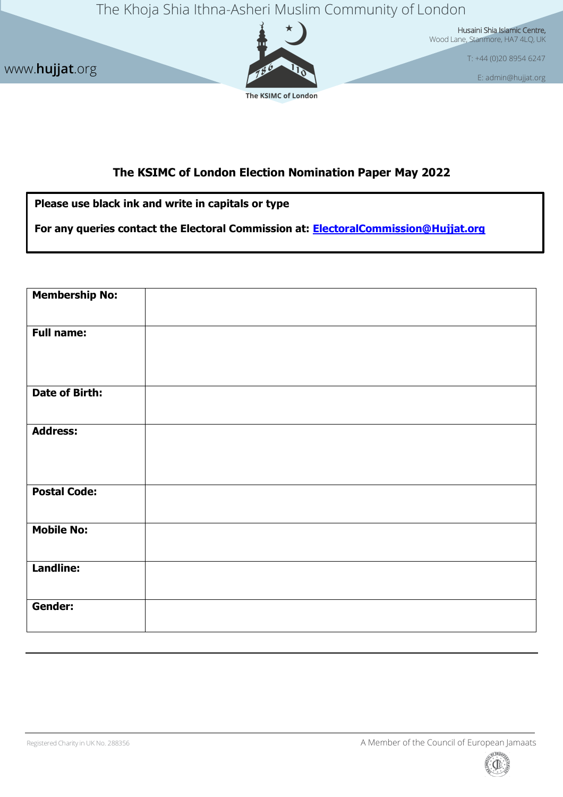The Khoja Shia Ithna-Asheri Muslim Community of London



Husaini Shia Islamic Centre, Wood Lane, Stanmore, HA7 4LQ, UK

T: +44 (0)20 8954 6247

[E: admin@hujjat.org](mailto:admin@hujjat.org)

## **The KSIMC of London Election Nomination Paper May 2022**

**Please use black ink and write in capitals or type**

www.**hujjat**.org

**For any queries contact the Electoral Commission at: [ElectoralCommission@Hujjat.org](mailto:ElectoralCommission@Hujjat.org)**

| <b>Membership No:</b> |  |
|-----------------------|--|
| <b>Full name:</b>     |  |
| <b>Date of Birth:</b> |  |
| <b>Address:</b>       |  |
| <b>Postal Code:</b>   |  |
| <b>Mobile No:</b>     |  |
| <b>Landline:</b>      |  |
| Gender:               |  |

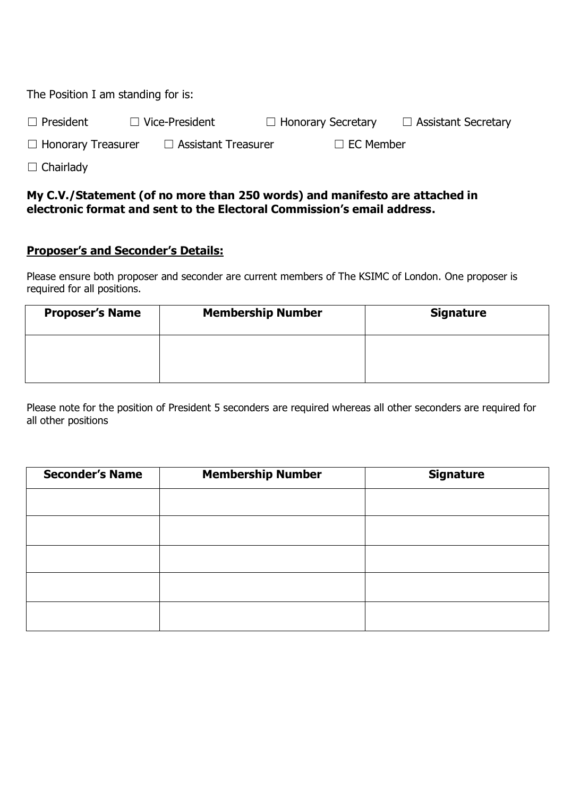The Position I am standing for is:

| $\Box$ President | $\Box$ Vice-President | $\Box$ Honorary Secretary | $\Box$ Assistant Secretary |
|------------------|-----------------------|---------------------------|----------------------------|
| ___              |                       |                           |                            |

☐ Honorary Treasurer ☐ Assistant Treasurer ☐ EC Member

□ Chairlady

## **My C.V./Statement (of no more than 250 words) and manifesto are attached in electronic format and sent to the Electoral Commission's email address.**

## **Proposer's and Seconder's Details:**

Please ensure both proposer and seconder are current members of The KSIMC of London. One proposer is required for all positions.

| <b>Proposer's Name</b> | <b>Membership Number</b> | <b>Signature</b> |
|------------------------|--------------------------|------------------|
|                        |                          |                  |

Please note for the position of President 5 seconders are required whereas all other seconders are required for all other positions

| <b>Seconder's Name</b> | <b>Membership Number</b> | <b>Signature</b> |
|------------------------|--------------------------|------------------|
|                        |                          |                  |
|                        |                          |                  |
|                        |                          |                  |
|                        |                          |                  |
|                        |                          |                  |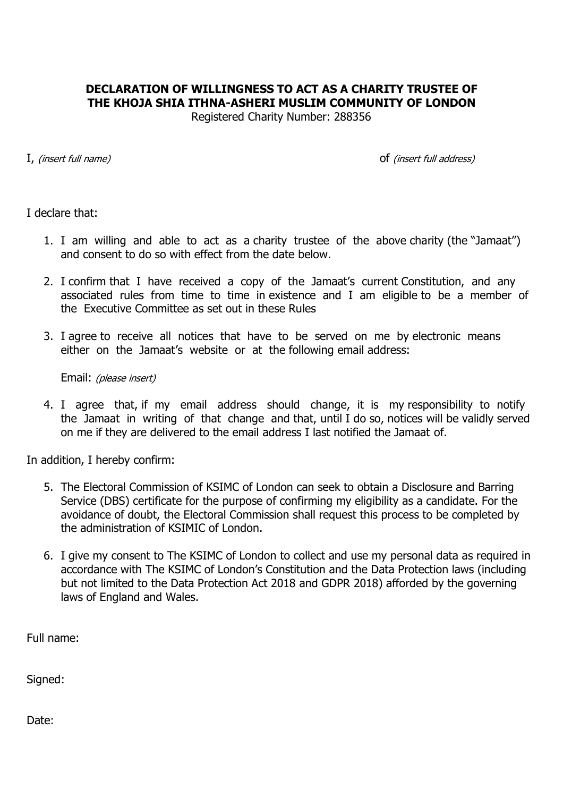## **DECLARATION OF WILLINGNESS TO ACT AS A CHARITY TRUSTEE OF THE KHOJA SHIA ITHNA-ASHERI MUSLIM COMMUNITY OF LONDON**

Registered Charity Number: 288356

I, (insert full name) of (insert full address)

I declare that:

- 1. I am willing and able to act as a charity trustee of the above charity (the "Jamaat") and consent to do so with effect from the date below.
- 2. I confirm that I have received a copy of the Jamaat's current Constitution, and any associated rules from time to time in existence and I am eligible to be a member of the Executive Committee as set out in these Rules
- 3. I agree to receive all notices that have to be served on me by electronic means either on the Jamaat's website or at the following email address:

Email: (please insert)

4. I agree that, if my email address should change, it is my responsibility to notify the Jamaat in writing of that change and that, until I do so, notices will be validly served on me if they are delivered to the email address I last notified the Jamaat of.

In addition, I hereby confirm:

- 5. The Electoral Commission of KSIMC of London can seek to obtain a Disclosure and Barring Service (DBS) certificate for the purpose of confirming my eligibility as a candidate. For the avoidance of doubt, the Electoral Commission shall request this process to be completed by the administration of KSIMIC of London.
- 6. I give my consent to The KSIMC of London to collect and use my personal data as required in accordance with The KSIMC of London's Constitution and the Data Protection laws (including but not limited to the Data Protection Act 2018 and GDPR 2018) afforded by the governing laws of England and Wales.

Full name:

Signed:

Date: